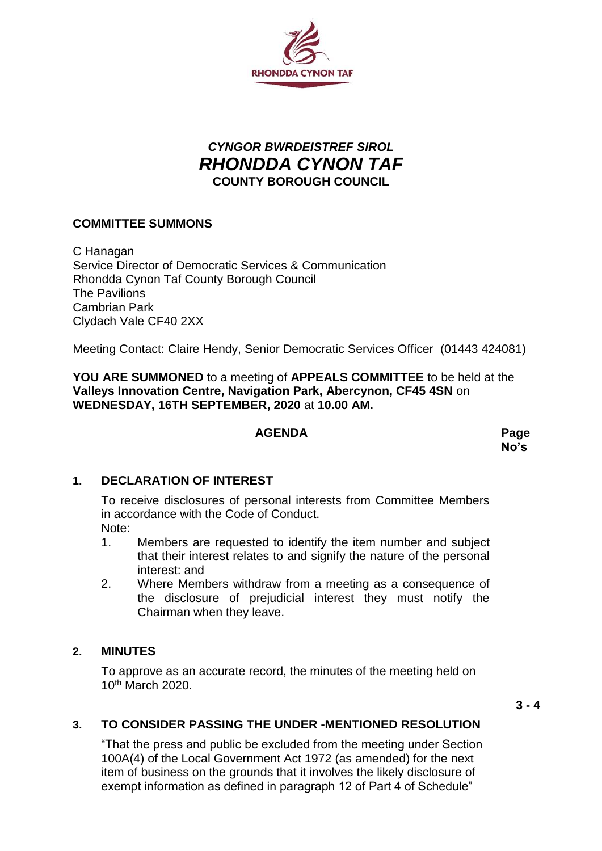

# *CYNGOR BWRDEISTREF SIROL RHONDDA CYNON TAF* **COUNTY BOROUGH COUNCIL**

## **COMMITTEE SUMMONS**

C Hanagan Service Director of Democratic Services & Communication Rhondda Cynon Taf County Borough Council The Pavilions Cambrian Park Clydach Vale CF40 2XX

Meeting Contact: Claire Hendy, Senior Democratic Services Officer (01443 424081)

**YOU ARE SUMMONED** to a meeting of **APPEALS COMMITTEE** to be held at the **Valleys Innovation Centre, Navigation Park, Abercynon, CF45 4SN** on **WEDNESDAY, 16TH SEPTEMBER, 2020** at **10.00 AM.**

#### **AGENDA Page**

**No's**

#### **1. DECLARATION OF INTEREST**

To receive disclosures of personal interests from Committee Members in accordance with the Code of Conduct. Note:

- 1. Members are requested to identify the item number and subject that their interest relates to and signify the nature of the personal interest: and
- 2. Where Members withdraw from a meeting as a consequence of the disclosure of prejudicial interest they must notify the Chairman when they leave.

#### **2. MINUTES**

To approve as an accurate record, the minutes of the meeting held on 10th March 2020.

**3 - 4**

### **3. TO CONSIDER PASSING THE UNDER -MENTIONED RESOLUTION**

"That the press and public be excluded from the meeting under Section 100A(4) of the Local Government Act 1972 (as amended) for the next item of business on the grounds that it involves the likely disclosure of exempt information as defined in paragraph 12 of Part 4 of Schedule"